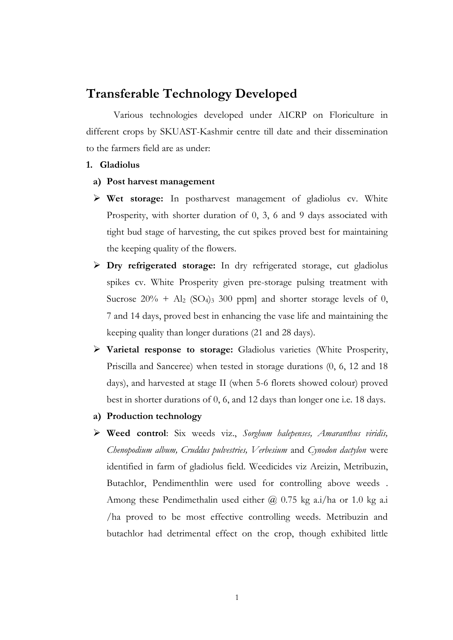# **Transferable Technology Developed**

Various technologies developed under AICRP on Floriculture in different crops by SKUAST-Kashmir centre till date and their dissemination to the farmers field are as under:

## **1. Gladiolus**

- **a) Post harvest management**
- **Wet storage:** In postharvest management of gladiolus cv. White Prosperity, with shorter duration of 0, 3, 6 and 9 days associated with tight bud stage of harvesting, the cut spikes proved best for maintaining the keeping quality of the flowers.
- **Dry refrigerated storage:** In dry refrigerated storage, cut gladiolus spikes cv. White Prosperity given pre-storage pulsing treatment with Sucrose  $20\% + Al_2$  (SO<sub>4</sub>)<sub>3</sub> 300 ppm] and shorter storage levels of 0, 7 and 14 days, proved best in enhancing the vase life and maintaining the keeping quality than longer durations (21 and 28 days).
- **Varietal response to storage:** Gladiolus varieties (White Prosperity, Priscilla and Sanceree) when tested in storage durations (0, 6, 12 and 18 days), and harvested at stage II (when 5-6 florets showed colour) proved best in shorter durations of 0, 6, and 12 days than longer one i.e. 18 days.
- **a) Production technology**
- **Weed control**: Six weeds viz., *Sorghum halepenses, Amaranthus viridis, Chenopodium album, Cruddus pulvestries, Verbesium* and *Cynodon dactylon* were identified in farm of gladiolus field. Weedicides viz Areizin, Metribuzin, Butachlor, Pendimenthlin were used for controlling above weeds . Among these Pendimethalin used either  $\omega$  0.75 kg a.i/ha or 1.0 kg a.i /ha proved to be most effective controlling weeds. Metribuzin and butachlor had detrimental effect on the crop, though exhibited little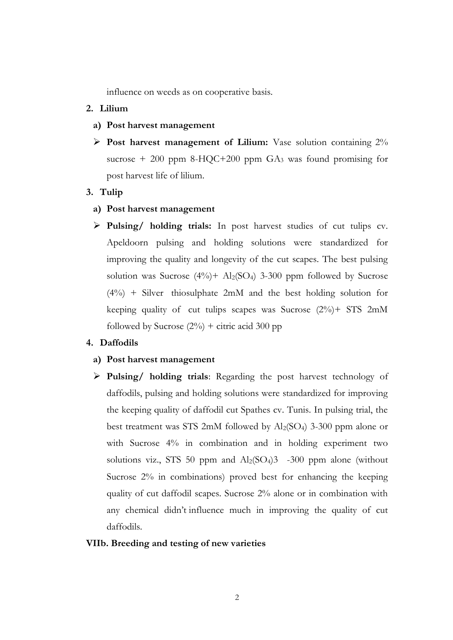influence on weeds as on cooperative basis.

## **2. Lilium**

- **a) Post harvest management**
- **Post harvest management of Lilium:** Vase solution containing 2% sucrose  $+$  200 ppm 8-HQC+200 ppm GA<sub>3</sub> was found promising for post harvest life of lilium.

## **3. Tulip**

- **a) Post harvest management**
- **Pulsing/ holding trials:** In post harvest studies of cut tulips cv. Apeldoorn pulsing and holding solutions were standardized for improving the quality and longevity of the cut scapes. The best pulsing solution was Sucrose  $(4\%)$ + Al<sub>2</sub>(SO<sub>4</sub>) 3-300 ppm followed by Sucrose (4%) + Silver thiosulphate 2mM and the best holding solution for keeping quality of cut tulips scapes was Sucrose (2%)+ STS 2mM followed by Sucrose  $(2\%)$  + citric acid 300 pp

### **4. Daffodils**

## **a) Post harvest management**

 **Pulsing/ holding trials**: Regarding the post harvest technology of daffodils, pulsing and holding solutions were standardized for improving the keeping quality of daffodil cut Spathes cv. Tunis. In pulsing trial, the best treatment was STS 2mM followed by Al2(SO4) 3-300 ppm alone or with Sucrose 4% in combination and in holding experiment two solutions viz., STS 50 ppm and  $\text{Al}_2(\text{SO}_4)3$  -300 ppm alone (without Sucrose 2% in combinations) proved best for enhancing the keeping quality of cut daffodil scapes. Sucrose 2% alone or in combination with any chemical didn't influence much in improving the quality of cut daffodils.

## **VIIb. Breeding and testing of new varieties**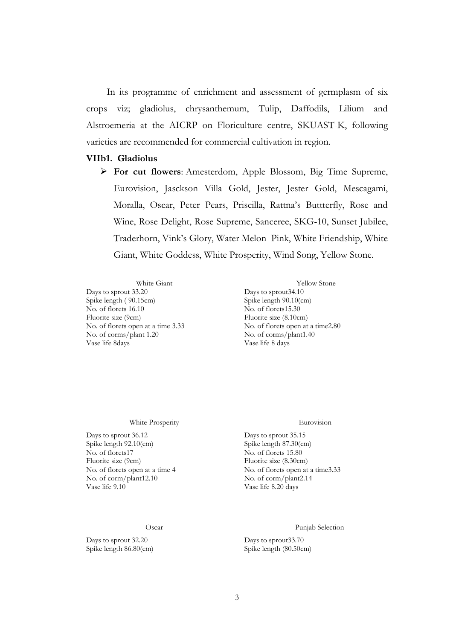In its programme of enrichment and assessment of germplasm of six crops viz; gladiolus, chrysanthemum, Tulip, Daffodils, Lilium and Alstroemeria at the AICRP on Floriculture centre, SKUAST-K, following varieties are recommended for commercial cultivation in region.

### **VIIb1. Gladiolus**

 **For cut flowers**: Amesterdom, Apple Blossom, Big Time Supreme, Eurovision, Jasckson Villa Gold, Jester, Jester Gold, Mescagami, Moralla, Oscar, Peter Pears, Priscilla, Rattna's Buttterfly, Rose and Wine, Rose Delight, Rose Supreme, Sanceree, SKG-10, Sunset Jubilee, Traderhorn, Vink's Glory, Water Melon Pink, White Friendship, White Giant, White Goddess, White Prosperity, Wind Song, Yellow Stone.

Days to sprout 33.20 Days to sprout 34.10 Spike length ( 90.15cm) Spike length 90.10(cm) No. of florets 16.10 No. of florets15.30 Fluorite size (9cm) Fluorite size (8.10cm) No. of florets open at a time 3.33 No. of florets open at a time 2.80 No. of corms/plant 1.20 No. of corms/plant1.40 Vase life 8days Vase life 8 days

White Giant Yellow Stone

### White Prosperity Eurovision

Days to sprout 36.12 Days to sprout 35.15<br>
Spike length 92.10(cm) Spike length 87.30(cm) Spike length 92.10(cm)<br>No. of florets17 Fluorite size (9cm)<br>
No. of florets open at a time 4<br>
No. of florets open at  $\lambda$  No. of florets open at No. of corm/plant12.10<br>Vase life 9.10

Spike length 86.80(cm) Spike length (80.50cm)

No. of florets 15.80 No. of florets open at a time 3.33<br>No. of corm/plant 2.14 Vase life 8.20 days

Oscar Punjab Selection

Days to sprout 32.20 Days to sprout 33.70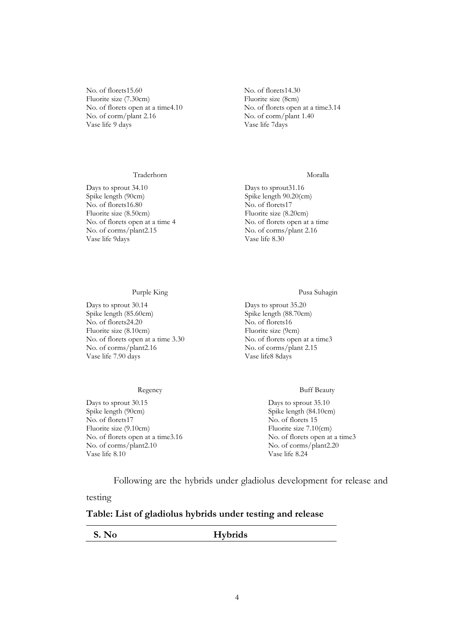No. of florets15.60 No. of florets14.30 Fluorite size (7.30cm) Fluorite size (8cm) No. of florets open at a time4.10 No. of florets open at a time3.14 No. of corm/plant 2.16 No. of corm/plant 1.40 Vase life 9 days Vase life 7days

No. of florets16.80<br>Fluorite size (8.50cm)

Vase life 9days

### Traderhorn Moralla

Days to sprout 34.10 Days to sprout 31.16 Spike length (90cm)<br>
No. of florets 16.80<br>
No. of florets 17 Fluorite size (8.50cm) Fluorite size (8.20cm) No. of florets open at a time 4 No. of florets open at a time No. of corms/plant2.15 No. of corms/plant 2.16<br>Vase life 9days Vase life 8.30

Days to sprout 30.14 Days to sprout 35.20 Spike length (85.60cm) Spike length (88.70cm) No. of florets24.20 No. of florets16 Fluorite size (8.10cm) Fluorite size (9cm) No. of florets open at a time 3.30 No. of florets open at a time3 No. of corms/plant2.16 No. of corms/plant 2.15 Vase life 7.90 days Vase life8 8days

### Purple King Pusa Suhagin

### Regency Buff Beauty

Days to sprout 30.15 Days to sprout 35.10 Spike length (90cm) Spike length (84.10cm) No. of florets17 No. of florets 15 Fluorite size (9.10cm) Fluorite size 7.10(cm) No. of florets open at a time3.16 No. of florets open at a time3 No. of corms/plant2.10 No. of corms/plant2.20 Vase life 8.10 Vase life 8.24

Following are the hybrids under gladiolus development for release and

testing

### **Table: List of gladiolus hybrids under testing and release**

**S. No Hybrids**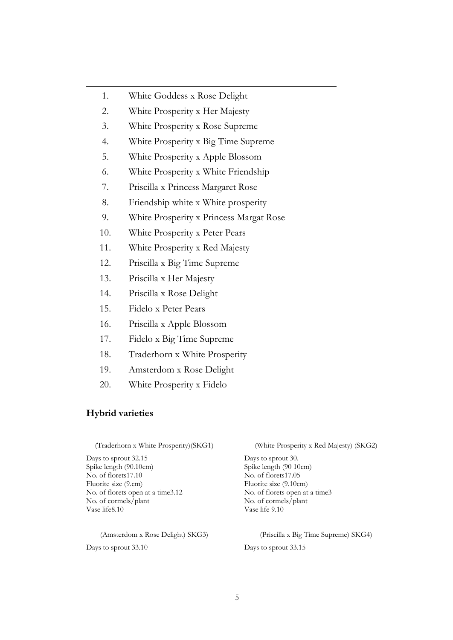- 1. White Goddess x Rose Delight
- 2. White Prosperity x Her Majesty
- 3. White Prosperity x Rose Supreme
- 4. White Prosperity x Big Time Supreme
- 5. White Prosperity x Apple Blossom
- 6. White Prosperity x White Friendship
- 7. Priscilla x Princess Margaret Rose
- 8. Friendship white x White prosperity
- 9. White Prosperity x Princess Margat Rose
- 10. White Prosperity x Peter Pears
- 11. White Prosperity x Red Majesty
- 12. Priscilla x Big Time Supreme
- 13. Priscilla x Her Majesty
- 14. Priscilla x Rose Delight
- 15. Fidelo x Peter Pears
- 16. Priscilla x Apple Blossom
- 17. Fidelo x Big Time Supreme
- 18. Traderhorn x White Prosperity
- 19. Amsterdom x Rose Delight
- 20. White Prosperity x Fidelo

## **Hybrid varieties**

Days to sprout 32.15 Days to sprout 30. Spike length (90.10cm) Spike length (90 10cm) No. of florets17.10 No. of florets17.05 Fluorite size (9.cm) Fluorite size (9.10cm) No. of florets open at a time3.12 No. of florets open at a time3 No. of cormels/plant No. of cormels/plant Vase life8.10 Vase life 9.10

Days to sprout 33.10 Days to sprout 33.15

(Traderhorn x White Prosperity)(SKG1) (White Prosperity x Red Majesty) (SKG2)

(Amsterdom x Rose Delight) SKG3) (Priscilla x Big Time Supreme) SKG4)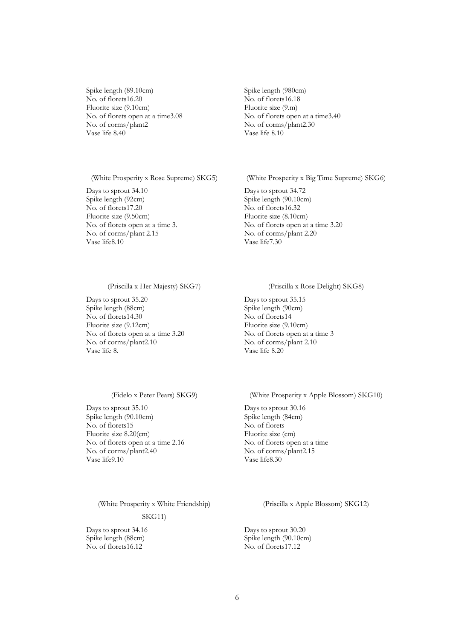Spike length (89.10cm) Spike length (980cm)<br>No. of florets16.20 No. of florets16.18 No. of florets16.20 Fluorite size (9.10cm) Fluorite size (9.m) No. of florets open at a time3.08 No. of florets open at a time3.40 No. of corms/plant2 No. of corms/plant2.30 Vase life 8.40 Vase life 8.10

Days to sprout 34.10 Days to sprout 34.72 Spike length (92cm)<br>
No. of florets17.20<br>
No. of florets16.32<br>
No. of florets16.32  $\overline{\text{No}}$ . of florets17.20 Fluorite size (9.50cm) Fluorite size (8.10cm) No. of corms/plant 2.15 No. of corms/plant 2.20<br>Vase life8.10 Vase life7.30

(White Prosperity x Rose Supreme) SKG5) (White Prosperity x Big Time Supreme) SKG6)

No. of florets open at a time 3. No. of florets open at a time 3.20 Vase life7.30

Days to sprout 35.20 Days to sprout 35.15 Spike length (88cm)<br>
No. of florets14.30<br>
No. of florets14 No. of florets14.30 Fluorite size (9.12cm) Fluorite size (9.10cm) No. of florets open at a time 3.20 No. of florets open at a time 3 No. of corms/plant2.10 No. of corms/plant 2.10<br>Vase life 8. No. of corms/plant 2.10

### (Priscilla x Her Majesty) SKG7) (Priscilla x Rose Delight) SKG8)

Vase life 8.20

Days to sprout 35.10 Days to sprout 30.16 Spike length (90.10cm) Spike length (84cm) No. of florets15 No. of florets Fluorite size 8.20(cm) Fluorite size (cm) No. of florets open at a time 2.16 No. of florets open at a time No. of corms/plant2.40 No. of corms/plant2.15 Vase life9.10 Vase life8.30

(Fidelo x Peter Pears) SKG9) (White Prosperity x Apple Blossom) SKG10)

(White Prosperity x White Friendship)

### SKG11)

Days to sprout 34.16 Days to sprout 30.20 No. of florets16.12 No. of florets17.12

(Priscilla x Apple Blossom) SKG12)

Spike length (88cm) Spike length (90.10cm)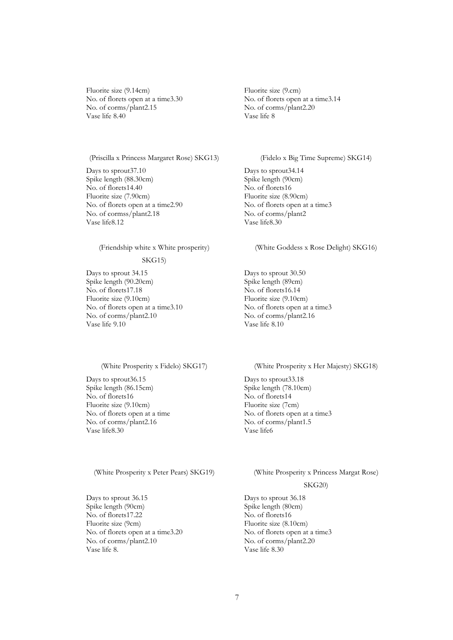Fluorite size (9.14cm) Fluorite size (9.cm) No. of florets open at a time3.30 No. of florets open at a time3.14 No. of corms/plant2.15 No. of corms/plant2.20<br>Vase life 8.40 Vase life 8 Vase life 8.40

(Priscilla x Princess Margaret Rose) SKG13) (Fidelo x Big Time Supreme) SKG14)

Days to sprout37.10 Days to sprout34.14<br>Spike length (88.30cm) Spike length (90cm) Spike length (88.30cm) Spike length (90<br>No. of florets14.40 No. of florets16 No. of florets14.40 No. of florets16<br>Fluorite size (7.90cm) Fluorite size (8.90cm) Fluorite size (7.90cm)<br>
No. of florets open at a time2.90<br>
No. of florets open at a time3 No. of florets open at a time2.90 No. of florets open at No. of corms/plant2.18 No. of corms/plant2 No. of cormss/plant2.18 No. of corms<br>Vase life8.12 Vase life8.30 Vase life8.12

(Friendship white x White prosperity)

### SKG15)

Days to sprout 34.15 Days to sprout 30.50 Spike length (90.20cm) Spike length (89cm) No. of florets17.18 No. of florets16.14 Fluorite size (9.10cm) Fluorite size (9.10cm) No. of florets open at a time3.10 No. of florets open at a time3 No. of corms/plant2.10 No. of corms/plant2.16 Vase life 9.10 Vase life 8.10

Days to sprout 36.15 Days to sprout 33.18 Spike length (86.15cm)<br>
No. of florets16<br>
No. of florets14<br>
No. of florets14 No. of florets16 Fluorite size (9.10cm) Fluorite size (7cm) No. of florets open at a time<br>No. of florets open at a time3 No. of corms/plant2.16 No. of corms/plant1.5 Vase life8.30 Vase life6

Days to sprout 36.15 Days to sprout 36.18<br>
Spike length (90cm) Spike length (80cm) Spike length (90cm) Spike length (80cm) Spike length (80cm) Spike length (80cm) Spike length (80cm) Spike length (80cm) Spike length (80cm) Spike length (80cm) Spike length (80cm) Spike length (80cm) Spike length (80cm) Sp No. of florets17.22<br>Fluorite size (9cm) No. of florets open at a time3.20 No. of florets open at a time3<br>No. of corms/plant2.10 No. of corms/plant2.20 No. of corms/plant2.10 No. of corms/plant2.20<br>Vase life 8. Vase life 8.30

(White Goddess x Rose Delight) SKG16)

### (White Prosperity x Fidelo) SKG17) (White Prosperity x Her Majesty) SKG18)

### (White Prosperity x Peter Pears) SKG19) (White Prosperity x Princess Margat Rose)

### SKG20)

Fluorite size (8.10cm) Vase life 8.30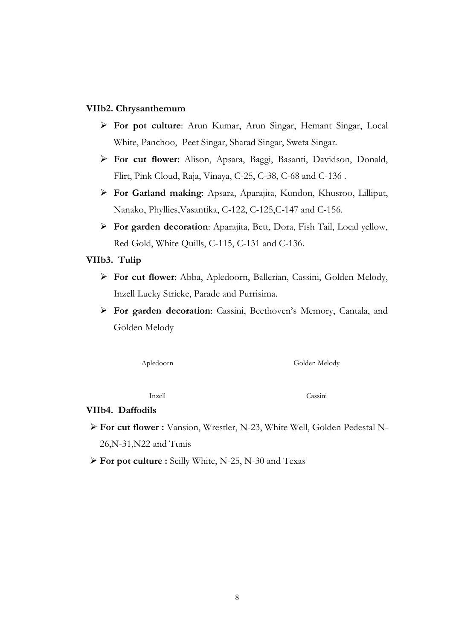## **VIIb2. Chrysanthemum**

- **For pot culture**: Arun Kumar, Arun Singar, Hemant Singar, Local White, Panchoo, Peet Singar, Sharad Singar, Sweta Singar.
- **For cut flower**: Alison, Apsara, Baggi, Basanti, Davidson, Donald, Flirt, Pink Cloud, Raja, Vinaya, C-25, C-38, C-68 and C-136 .
- **For Garland making**: Apsara, Aparajita, Kundon, Khusroo, Lilliput, Nanako, Phyllies,Vasantika, C-122, C-125,C-147 and C-156.
- **For garden decoration**: Aparajita, Bett, Dora, Fish Tail, Local yellow, Red Gold, White Quills, C-115, C-131 and C-136.

## **VIIb3. Tulip**

- **For cut flower**: Abba, Apledoorn, Ballerian, Cassini, Golden Melody, Inzell Lucky Stricke, Parade and Purrisima.
- **For garden decoration**: Cassini, Beethoven's Memory, Cantala, and Golden Melody

Apledoorn Golden Melody

Inzell Cassini

## **VIIb4. Daffodils**

- **For cut flower :** Vansion, Wrestler, N-23, White Well, Golden Pedestal N-26,N-31,N22 and Tunis
- **For pot culture :** Scilly White, N-25, N-30 and Texas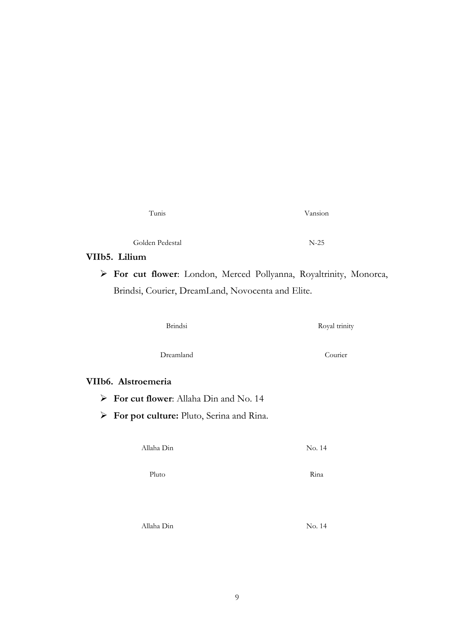| Tunis           | Vansion |
|-----------------|---------|
| Golden Pedestal | $N-25$  |

## **VIIb5. Lilium**

 **For cut flower**: London, Merced Pollyanna, Royaltrinity, Monorca, Brindsi, Courier, DreamLand, Novocenta and Elite.

| <b>Brindsi</b>                                            | Royal trinity |
|-----------------------------------------------------------|---------------|
| Dreamland                                                 | Courier       |
| VIIb6. Alstroemeria                                       |               |
| $\triangleright$ For cut flower: Allaha Din and No. 14    |               |
| $\triangleright$ For pot culture: Pluto, Serina and Rina. |               |
| Allaha Din                                                | No. 14        |
| Pluto                                                     | Rina          |

Allaha Din No. 14